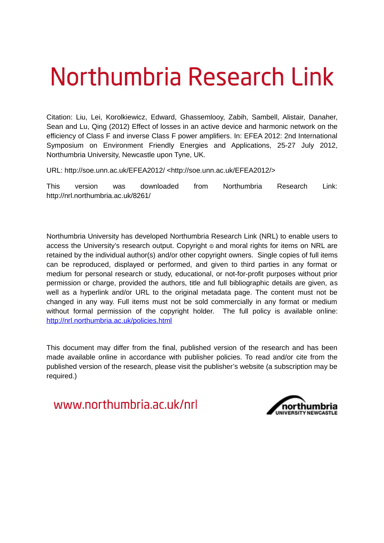# Northumbria Research Link

Citation: Liu, Lei, Korolkiewicz, Edward, Ghassemlooy, Zabih, Sambell, Alistair, Danaher, Sean and Lu, Qing (2012) Effect of losses in an active device and harmonic network on the efficiency of Class F and inverse Class F power amplifiers. In: EFEA 2012: 2nd International Symposium on Environment Friendly Energies and Applications, 25-27 July 2012, Northumbria University, Newcastle upon Tyne, UK.

URL: http://soe.unn.ac.uk/EFEA2012/ <http://soe.unn.ac.uk/EFEA2012/>

This version was downloaded from Northumbria Research Link: http://nrl.northumbria.ac.uk/8261/

Northumbria University has developed Northumbria Research Link (NRL) to enable users to access the University's research output. Copyright  $\circ$  and moral rights for items on NRL are retained by the individual author(s) and/or other copyright owners. Single copies of full items can be reproduced, displayed or performed, and given to third parties in any format or medium for personal research or study, educational, or not-for-profit purposes without prior permission or charge, provided the authors, title and full bibliographic details are given, as well as a hyperlink and/or URL to the original metadata page. The content must not be changed in any way. Full items must not be sold commercially in any format or medium without formal permission of the copyright holder. The full policy is available online: <http://nrl.northumbria.ac.uk/policies.html>

This document may differ from the final, published version of the research and has been made available online in accordance with publisher policies. To read and/or cite from the published version of the research, please visit the publisher's website (a subscription may be required.)

www.northumbria.ac.uk/nrl

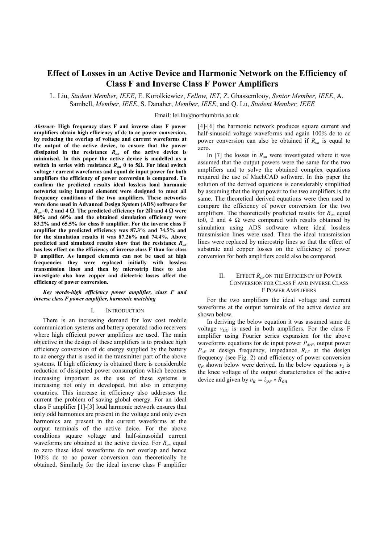# **Effect of Losses in an Active Device and Harmonic Network on the Efficiency of Class F and Inverse Class F Power Amplifiers**

L. Liu, *Student Member, IEEE*, E. Korolkiewicz, *Fellow, IET*, Z. Ghassemlooy, *Senior Member, IEEE*, A. Sambell, *Member, IEEE*, S. Danaher, *Member, IEEE*, and Q. Lu, *Student Member, IEEE*

Email: lei.liu@northumbria.ac.uk

*Abstract***- High frequency class F and inverse class F power amplifiers obtain high efficiency of dc to ac power conversion, by reducing the overlap of voltage and current waveforms at the output of the active device, to ensure that the power dissipated in the resistance** *Ron* **of the active device is minimised. In this paper the active device is modelled as a switch in series with resistance** *Ron* **0 to 5Ω. For ideal switch voltage / current waveforms and equal dc input power for both amplifiers the efficiency of power conversion is compared. To confirm the predicted results ideal lossless load harmonic networks using lumped elements were designed to meet all frequency conditions of the two amplifiers. These networks were done used in Advanced Design System (ADS) software for**  $R_{\text{on}} = 0$ , 2 and 4 Ω. The predicted efficiency for 2Ω and 4 Ω were **80% and 60% and the obtained simulation efficiency were 83.2% and 65.5% for class F amplifier. For the inverse class F amplifier the predicted efficiency was 87.3% and 74.5% and for the simulation results it was 87.26% and 74.4%. Above predicted and simulated results show that the resistance** *Ron* **has less effect on the efficiency of inverse class F than for class F amplifier. As lumped elements can not be used at high frequencies they were replaced initially with lossless transmission lines and then by microstrip lines to also investigate also how copper and dielectric losses affect the efficiency of power conversion.**

### *Key words-high efficiency power amplifier, class F and inverse class F power amplifier, harmonic matching*

#### I. INTRODUCTION

There is an increasing demand for low cost mobile communication systems and battery operated radio receivers where high efficient power amplifiers are used. The main objective in the design of these amplifiers is to produce high efficiency conversion of dc energy supplied by the battery to ac energy that is used in the transmitter part of the above systems. If high efficiency is obtained there is considerable reduction of dissipated power consumption which becomes increasing important as the use of these systems is increasing not only in developed, but also in emerging countries. This increase in efficiency also addresses the current the problem of saving global energy. For an ideal class F amplifier [1]-[3] load harmonic network ensures that only odd harmonics are present in the voltage and only even harmonics are present in the current waveforms at the output terminals of the active deice. For the above conditions square voltage and half-sinusoidal current waveforms are obtained at the active device. For *Ron* equal to zero these ideal waveforms do not overlap and hence 100% dc to ac power conversion can theoretically be obtained. Similarly for the ideal inverse class F amplifier

[4]-[6] the harmonic network produces square current and half-sinusoid voltage waveforms and again 100% dc to ac power conversion can also be obtained if *Ron* is equal to zero.

In [7] the losses in *Ron* were investigated where it was assumed that the output powers were the same for the two amplifiers and to solve the obtained complex equations required the use of MachCAD software. In this paper the solution of the derived equations is considerably simplified by assuming that the input power to the two amplifiers is the same. The theoretical derived equations were then used to compare the efficiency of power conversion for the two amplifiers. The theoretically predicted results for *Ron* equal to0, 2 and 4  $\Omega$  were compared with results obtained by simulation using ADS software where ideal lossless transmission lines were used. Then the ideal transmission lines were replaced by microstrip lines so that the effect of substrate and copper losses on the efficiency of power conversion for both amplifiers could also be compared.

# II. EFFECT  $R_{ON}$  ON THE EFFICIENCY OF POWER CONVERSION FOR CLASS F AND INVERSE CLASS F POWER AMPLIFIERS

For the two amplifiers the ideal voltage and current waveforms at the output terminals of the active device are shown below.

In deriving the below equation it was assumed same dc voltage  $v_{DD}$  is used in both amplifiers. For the class F amplifier using Fourier series expansion for the above waveforms equations for dc input power *PdcF*, output power  $P_{oF}$  at design frequency, impedance  $R_{LF}$  at the design frequency (see Fig. 2) and efficiency of power conversion  $\eta_F$  shown below were derived. In the below equations  $v_k$  is the knee voltage of the output characteristics of the active device and given by  $v_k = i_{nF} * R_{on}$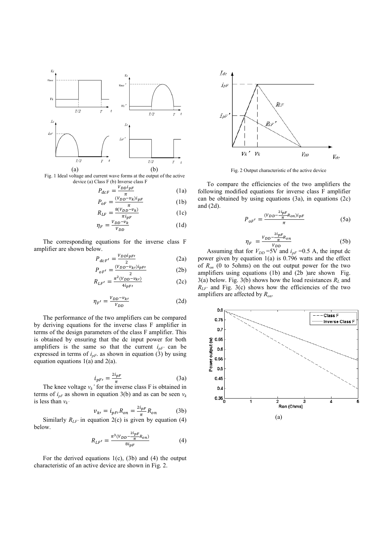

Fig. 1 Ideal voltage and current wave forms at the output of the active device (a) Class F (b) Inverse class F

$$
P_{dcf} = \frac{V_{DD}i_{pF}}{\pi} \tag{1a}
$$

$$
P_{oF} = \frac{(V_{DD} - v_k)i_{pF}}{\pi}
$$
 (1b)  

$$
R_{v} = \frac{8(V_{DD} - v_k)}{\pi}
$$
 (1c)

$$
R_{LF} = \frac{\partial (VDD - V_R)}{\pi i_{pF}} \tag{1c}
$$

$$
\eta_F = \frac{v_{DD} - v_k}{v_{DD}} \tag{1d}
$$

The corresponding equations for the inverse class F amplifier are shown below.

$$
P_{dcf'} = \frac{V_{DD}i_{pF'}}{2} \tag{2a}
$$

$$
P_{oF'} = \frac{(V_{DD} - v_{kl})i_{pF'}}{2}
$$
 (2b)

$$
R_{LF'} = \frac{\pi^2 (V_{DD} - v_{ki})}{4i_{pF'}} \tag{2c}
$$

$$
\eta_{F'} = \frac{v_{DD} - v_{kl}}{v_{DD}} \tag{2d}
$$

The performance of the two amplifiers can be compared by deriving equations for the inverse class F amplifier in terms of the design parameters of the class F amplifier. This is obtained by ensuring that the dc input power for both amplifiers is the same so that the current  $i_{pF'}$  can be expressed in terms of  $i_{pF}$ . as shown in equation (3) by using equation equations  $1(a)$  and  $2(a)$ .

$$
i_{pF'} = \frac{2i_{pF}}{\pi} \tag{3a}
$$

The knee voltage  $v_k$ <sup>*r*</sup> for the inverse class F is obtained in terms of  $i_{pF}$  as shown in equation 3(b) and as can be seen  $v_k$ is less than  $v_k$ 

$$
v_{k'} = i_{pF}R_{on} = \frac{2i_{pF}}{\pi}R_{on}
$$
 (3b)

Similarly  $R_{LF'}$  in equation 2(c) is given by equation (4) below.

$$
R_{LF'} = \frac{\pi^3 (V_{DD} - \frac{2i_{pF}}{\pi} R_{on})}{8i_{pF}} \tag{4}
$$

For the derived equations  $1(c)$ ,  $(3b)$  and  $(4)$  the output characteristic of an active device are shown in Fig. 2.



Fig. 2 Output characteristic of the active device

To compare the efficiencies of the two amplifiers the following modified equations for inverse class F amplifier can be obtained by using equations (3a), in equations (2c) and (2d).

$$
P_{oF'} = \frac{(v_{DD} - \frac{2l_{pF}}{\pi}R_{on})i_{pF}}{\pi}
$$
 (5a)

$$
\eta_F = \frac{v_{DD} - \frac{2v_{pF}}{\pi} R_{on}}{v_{DD}} \tag{5b}
$$

Assuming that for  $V_{DD}$  =5V and  $i_{pF}$  =0.5 A, the input dc power given by equation 1(a) is 0.796 watts and the effect of  $R_{on}$  (0 to 5ohms) on the out output power for the two amplifiers using equations (1b) and (2b )are shown Fig. 3(a) below. Fig. 3(b) shows how the load resistances  $R_L$  and  $R_{LF'}$  and Fig. 3(c) shows how the efficiencies of the two amplifiers are affected by *Ron*.

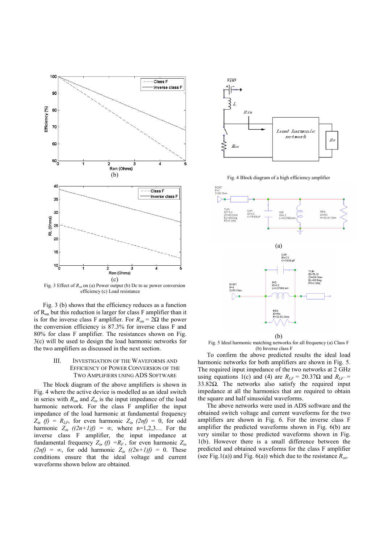

Fig. 3 Effect of *Ron* on (a) Power output (b) Dc to ac power conversion efficiency (c) Load resistance

Fig. 3 (b) shows that the efficiency reduces as a function of Ron but this reduction is larger for class F amplifier than it is for the inverse class F amplifier. For  $R_{on} = 2\Omega$  the power the conversion efficiency is 87.3% for inverse class F and 80% for class F amplifier. The resistances shown on Fig. 3(c) will be used to design the load harmonic networks for the two amplifiers as discussed in the next section.

# III. INVESTIGATION OF THE WAVEFORMS AND EFFICIENCY OF POWER CONVERSION OF THE TWO AMPLIFIERS USING ADS SOFTWARE

The block diagram of the above amplifiers is shown in Fig. 4 where the active device is modelled as an ideal switch in series with  $R_{on}$  and  $Z_{in}$  is the input impedance of the load harmonic network. For the class F amplifier the input impedance of the load harmonic at fundamental frequency  $Z_{in}$  (f) =  $R_{LF}$ , for even harmonic  $Z_{in}$  (2nf) = 0, for odd harmonic  $Z_{in}$   $((2n+1)f) = \infty$ , where n=1,2,3... For the inverse class F amplifier, the input impedance at fundamental frequency  $Z_{in}$  (f)  $=R_F$ , for even harmonic  $Z_{in}$ *(2nf)* = ∞, for odd harmonic  $Z_{in}$  *((2n+1)f)* = 0. These conditions ensure that the ideal voltage and current waveforms shown below are obtained.



Fig. 4 Block diagram of a high efficiency amplifier



Fig. 5 Ideal harmonic matching networks for all frequency (a) Class F (b) Inverse class F

To confirm the above predicted results the ideal load harmonic networks for both amplifiers are shown in Fig. 5. The required input impedance of the two networks at 2 GHz using equations 1(c) and (4) are  $R_{LF} = 20.37\Omega$  and  $R_{LF'} =$ 33.82Ω. The networks also satisfy the required input impedance at all the harmonics that are required to obtain the square and half sinusoidal waveforms.

The above networks were used in ADS software and the obtained switch voltage and current waveforms for the two amplifiers are shown in Fig. 6. For the inverse class F amplifier the predicted waveforms shown in Fig. 6(b) are very similar to those predicted waveforms shown in Fig. 1(b). However there is a small difference between the predicted and obtained waveforms for the class F amplifier (see Fig.1(a)) and Fig. 6(a)) which due to the resistance *Ron*.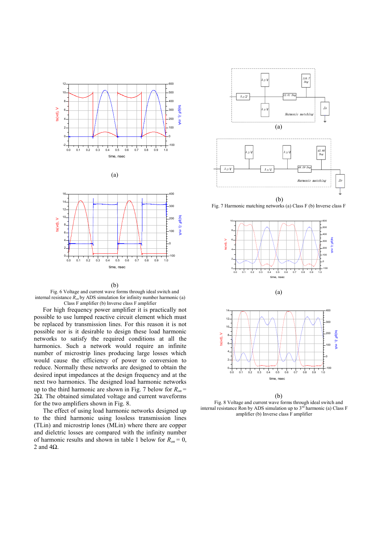







Fig. 6 Voltage and current wave forms through ideal switch and internal resistance *Ron* by ADS simulation for infinity number harmonic (a) Class F amplifier (b) Inverse class F amplifier

For high frequency power amplifier it is practically not possible to use lumped reactive circuit element which must be replaced by transmission lines. For this reason it is not possible nor is it desirable to design these load harmonic networks to satisfy the required conditions at all the harmonics. Such a network would require an infinite number of microstrip lines producing large losses which would cause the efficiency of power to conversion to reduce. Normally these networks are designed to obtain the desired input impedances at the design frequency and at the next two harmonics. The designed load harmonic networks up to the third harmonic are shown in Fig. 7 below for  $R_{on}$  = 2Ω. The obtained simulated voltage and current waveforms for the two amplifiers shown in Fig. 8.

The effect of using load harmonic networks designed up to the third harmonic using lossless transmission lines (TLin) and microstrip lones (MLin) where there are copper and dielctric losses are compared with the infinity number of harmonic results and shown in table 1 below for  $R_{on} = 0$ , 2 and 4Ω.



Fig. 7 Harmonic matching networks (a) Class F (b) Inverse class F





(b)

Fig. 8 Voltage and current wave forms through ideal switch and internal resistance Ron by ADS simulation up to  $3<sup>rd</sup>$  harmonic (a) Class F amplifier (b) Inverse class F amplifier